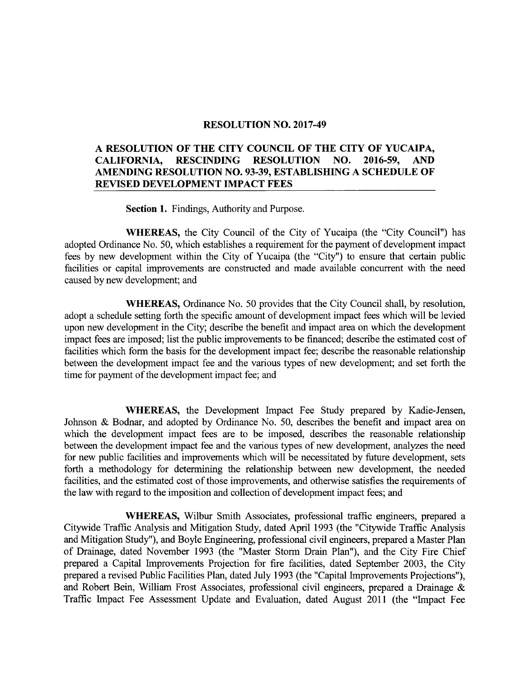### RESOLUTION NO. 2017-49

### A RESOLUTION OF THE CITY COUNCIL OF THE CITY OF YUCAIPA, CALIFORNIA, RESCINDING RESOLUTION NO. 2016-59, AND AMENDING RESOLUTION NO. 93-39, ESTABLISHING A SCHEDULE OF REVISED DEVELOPMENT IMPACT FEES

Section 1. Findings, Authority and Purpose.

WHEREAS, the City Council of the City of Yucaipa (the "City Council") has adopted Ordinance No. 50, which establishes <sup>a</sup> requirement for the payment of development impact fees by new development within the City of Yucaipa (the "City") to ensure that certain public facilities or capital improvements are constructed and made available concurrent with the need caused by new development; and

WHEREAS, Ordinance No. 50 provides that the City Council shall, by resolution, adopt a schedule setting forth the specific amount of development impact fees which will be levied upon new development in the City; describe the benefit and impact area on which the development impact fees are imposed; list the public improvements to be financed; describe the estimated cost of facilities which form the basis for the development impact fee; describe the reasonable relationship between the development impact fee and the various types of new development; and set forth the time for payment of the development impact fee; and

WHEREAS, the Development Impact Fee Study prepared by Kadie-Jensen, Johnson & Bodnar, and adopted by Ordinance No. 50, describes the benefit and impact area on which the development impact fees are to be imposed, describes the reasonable relationship between the development impact fee and the various types of new development, analyzes the need for new public facilities and improvements which will be necessitated by future development, sets forth a methodology for determining the relationship between new development, the needed facilities, and the estimated cost of those improvements, and otherwise satisfies the requirements of the law with regard to the imposition and collection of development impact fees; and

WHEREAS, Wilbur Smith Associates, professional traffic engineers, prepared a Citywide Traffic Analysis and Mitigation Study, dated April 1993 ( the " Citywide Traffic Analysis and Mitigation Study"), and Boyle Engineering, professional civil engineers, prepared <sup>a</sup> Master Plan of Drainage, dated November 1993 (the "Master Storm Drain Plan"), and the City Fire Chief prepared a Capital Improvements Projection for fire facilities, dated September 2003, the City prepared a revised Public Facilities Plan, dated July 1993 (the "Capital Improvements Projections"), and Robert Bein, William Frost Associates, professional civil engineers, prepared a Drainage & Traffic Impact Fee Assessment Update and Evaluation, dated August 2011 ( the " Impact Fee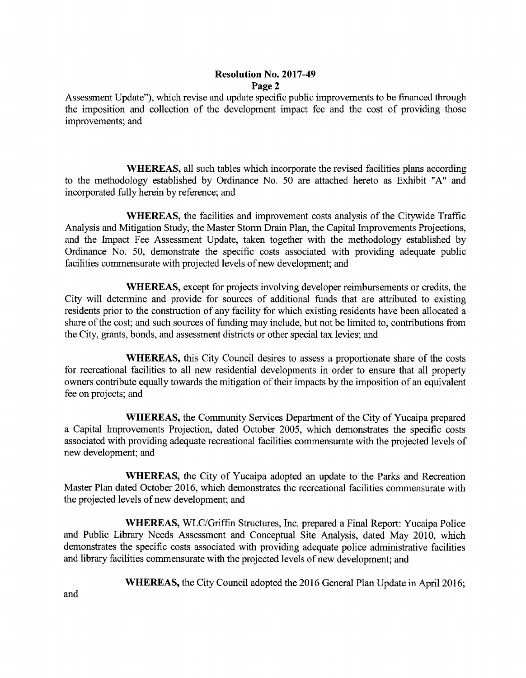### Resolution No. 2017-49 Page 2

Assessment Update"), which revise and update specific public improvements to be financed through the imposition and collection of the development impact fee and the cost of providing those improvements; and

WHEREAS, all such tables which incorporate the revised facilities plans according to the methodology established by Ordinance No. 50 are attached hereto as Exhibit "A" and incorporated fully herein by reference; and

WHEREAS, the facilities and improvement costs analysis of the Citywide Traffic Analysis and Mitigation Study, the Master Storm Drain Plan, the Capital Improvements Projections, and the Impact Fee Assessment Update, taken together with the methodology established by Ordinance No. 50, demonstrate the specific costs associated with providing adequate public facilities commensurate with projected levels of new development; and

WHEREAS, except for projects involving developer reimbursements or credits, the City will determine and provide for sources of additional funds that are attributed to existing residents prior to the construction of any facility for which existing residents have been allocated a share of the cost; and such sources of funding may include, but not be limited to, contributions from the City, grants, bonds, and assessment districts or other special tax levies; and

WHEREAS, this City Council desires to assess <sup>a</sup> proportionate share of the costs for recreational facilities to all new residential developments in order to ensure that all property owners contribute equally towards the mitigation of their impacts by the imposition of an equivalent fee on projects; and

WHEREAS, the Community Services Department of the City of Yucaipa prepared a Capital Improvements Projection, dated October 2005, which demonstrates the specific costs associated with providing adequate recreational facilities commensurate with the projected levels of new development; and

WHEREAS, the City of Yucaipa adopted an update to the Parks and Recreation Master Plan dated October 2016, which demonstrates the recreational facilities commensurate with the projected levels of new development; and

WHEREAS, WLC/Griffin Structures, Inc. prepared <sup>a</sup> Final Report: Yucaipa Police and Public Library Needs Assessment and Conceptual Site Analysis, dated May 2010, which demonstrates the specific costs associated with providing adequate police administrative facilities and library facilities commensurate with the projected levels of new development; and

WHEREAS, the City Council adopted the 2016 General Plan Update in April 2016;

and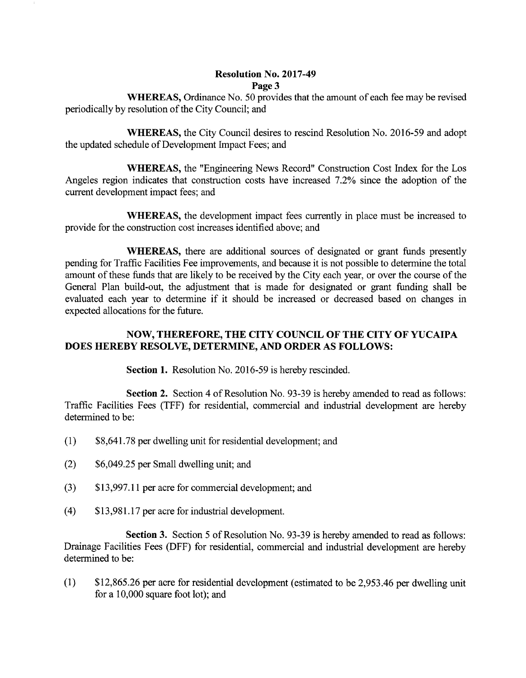### Resolution No. 2017-49 Page 3

WHEREAS, Ordinance No. 50 provides that the amount of each fee may be revised periodically by resolution of the City Council; and

WHEREAS, the City Council desires to rescind Resolution No. 2016-59 and adopt the updated schedule of Development Impact Fees; and

WHEREAS, the "Engineering News Record" Construction Cost Index for the Los Angeles region indicates that construction costs have increased 7.2% since the adoption of the current development impact fees; and

WHEREAS, the development impact fees currently in place must be increased to provide for the construction cost increases identified above; and

WHEREAS, there are additional sources of designated or grant funds presently pending for Traffic Facilities Fee improvements, and because it is not possible to determine the total amount of these funds that are likely to be received by the City each year, or over the course of the General Plan build-out, the adjustment that is made for designated or grant funding shall be evaluated each year to determine if it should be increased or decreased based on changes in expected allocations for the future.

### NOW, THEREFORE, THE CITY COUNCIL OF THE CITY OF YUCAIPA DOES HEREBY RESOLVE, DETERMINE, AND ORDER AS FOLLOWS:

Section 1. Resolution No. 2016-59 is hereby rescinded.

Section 2. Section 4 of Resolution No. 93-39 is hereby amended to read as follows: Traffic Facilities Fees (TFF) for residential, commercial and industrial development are hereby determined to be:

- 1) \$ 8, 641. 78 per dwelling unit for residential development; and
- 2) \$ 6,049.25 per Small dwelling unit; and
- 3) \$ 13, 997. 11 per acre for commercial development; and
- 4) \$ 13, 981. 17 per acre for industrial development.

Section 3. Section 5 of Resolution No. 93-39 is hereby amended to read as follows: Drainage Facilities Fees ( DFF) for residential, commercial and industrial development are hereby determined to be:

1) \$ 12, 865.26 per acre for residential development ( estimated to be 2, 953. 46 per dwelling unit for a 10,000 square foot lot); and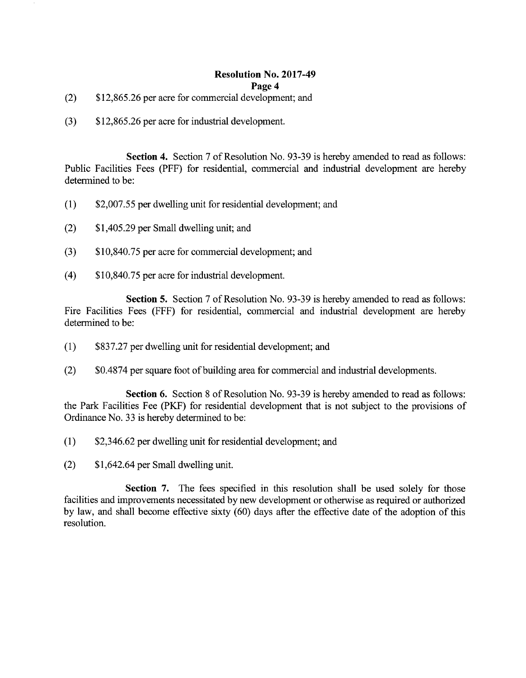### Resolution No. 2017-49

### Page 4

- 2) \$ 12, 865. 26 per acre for commercial development; and
- 3) \$ 12, 865.26 per acre for industrial development.

Section 4. Section 7 of Resolution No. 93-39 is hereby amended to read as follows: Public Facilities Fees (PFF) for residential, commercial and industrial development are hereby determined to be:

- 1) \$ 2, 007.55 per dwelling unit for residential development; and
- 2) \$ 1, 405.29 per Small dwelling unit; and
- 3) \$ 10,840.75 per acre for commercial development; and
- 4) \$ 10,840.75 per acre for industrial development.

Section 5. Section 7 of Resolution No. 93-39 is hereby amended to read as follows: Fire Facilities Fees (FFF) for residential, commercial and industrial development are hereby determined to be:

- 1) \$ 837.27 per dwelling unit for residential development; and
- (2) \$0.4874 per square foot of building area for commercial and industrial developments.

Section 6. Section 8 of Resolution No. 93-39 is hereby amended to read as follows: the Park Facilities Fee (PKF) for residential development that is not subject to the provisions of Ordinance No. 33 is hereby determined to be:

- 1) \$ 2, 346.62 per dwelling unit for residential development; and
- 2) \$ 1, 642.64 per Small dwelling unit.

Section 7. The fees specified in this resolution shall be used solely for those facilities and improvements necessitated by new development or otherwise as required or authorized by law, and shall become effective sixty (60) days after the effective date of the adoption of this resolution.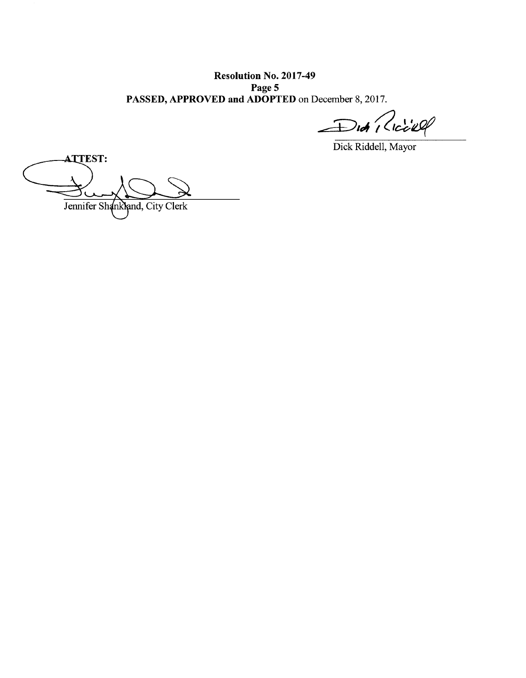Resolution No. 2017-49 Page 5 PASSED, APPROVED and ADOPTED on December 8, 2017.

Did Riciell

Dick Riddell, Mayor

ATTEST: ATTEST: Jennifer Shankland, City Clerk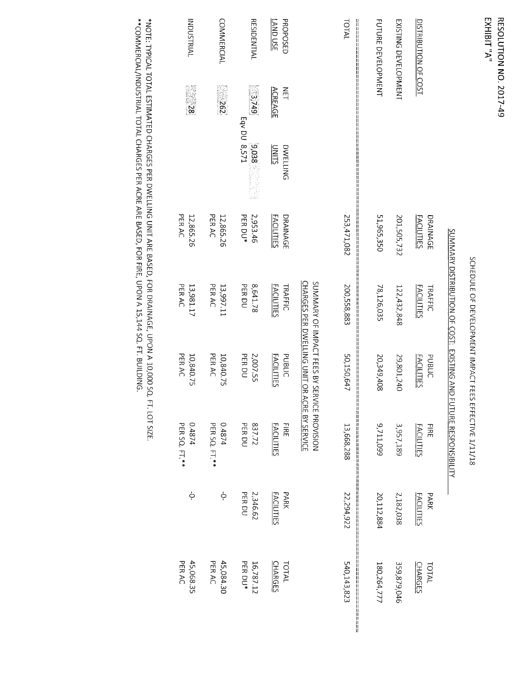### EXHIBIT "A" **RESOLUTION NO. 2017-49**

## SCHEDULE OF DEVELOPMENT IMPACT FEES EFFECTIVE 1/11/18

# SOMARY DISTRIBUTION OF COOL: FXIXITING AND FCITION OF COOLS

|                                                          |                                 |                                      |                                     | SUMMMARY DISTRIBUTION OF COST: EXISTING AND FOTONS BUTTY |                                  |                           |                                                      |
|----------------------------------------------------------|---------------------------------|--------------------------------------|-------------------------------------|----------------------------------------------------------|----------------------------------|---------------------------|------------------------------------------------------|
| DISTRIBUTION OF COST                                     |                                 | <b>FACILITIES</b><br>DRAINAGE        | <b>FACILITIES</b><br><b>TRAFFIC</b> | <b>FACILITIES</b><br>PUBLIC                              | <b>FACILITIES</b><br>FIRE        | <b>FACILITIES</b><br>PARK | <b>CHARGES</b><br>TOTAL                              |
| EXISTING DEVELOPMENT                                     |                                 | 201,505,732                          | 122,432,848                         | 29,801,240                                               | 3,957,189                        | 2,182,038                 | 359,879,046                                          |
| <b>FUTURE DEVELOPMENT</b>                                |                                 | 51,965,350                           | 78,126,035                          | 20,349,408                                               | 9,711,099                        | 20,112,884                | 180,264,777                                          |
| TOTAL<br>  <br>  <br>                                    |                                 | ╝╝╝╝╝╝┙╝┙┙┇┇┇┪<br>253,471,082        | 200,558,883                         | 50,150,647                                               | 13,668,288                       | 22,294,922                | ┙┙┖╸┖╸┖╸┖╸╘╶╶╶╶╶╶╶╶╶╶╶╶╶╶╶╶╶╶╶╶╶╶╶╶╶╶<br>540,143,823 |
|                                                          |                                 |                                      | SUMMARY OF IMPACT FEES BY SERV      | CHARGES PER DWELLING UNIT OR ACRE BY SERVICE             | ICE PROVISION                    |                           |                                                      |
| LAND USE<br>PROPOSED<br><b>ACREAGE</b><br>$\frac{2}{11}$ | <b>UNITS</b><br><b>DWELLING</b> | <b>DRAINAGE</b><br><b>FACILITIES</b> | <b>FACILITIES</b><br><b>TRAFFIC</b> | PUBLIC<br><b>FACILITIES</b>                              | <b>FACILITIES</b><br><b>FIRE</b> | PARK<br><b>FACILITIES</b> | <b>CHARGES</b><br>TOTAL                              |
| <b>RESIDENTIAL</b><br>3,749                              | Eqv DU 8,571<br>9,038           | PER DU*<br>2,953.46                  | PER DU<br>8,641.78                  | PER DU<br>2,007.55                                       | 837.72<br>PER DU                 | PER DU<br>2,346.62        | PER DU*<br>16,787.12                                 |
| <b>COMMERCIAL</b><br>Z62                                 |                                 | PER AC<br>12,865.26                  | PER AC<br>13,997.11                 | PER AC<br>10,840.75                                      | 0.4874<br>PER SQ. FT.**          | $\dot{\varphi}$           | PER AC<br>45,084.30                                  |
| <b>INDUSTRIAL</b><br>$\overline{\text{38}}$              |                                 | PER AC<br>12,865.26                  | PER AC<br>13,981.17                 | 10,840.75<br>PER AC                                      | 0.4874<br>PER SQ. FT.**          | Ģ                         | 45,068.35<br>PER <sub>AC</sub>                       |
|                                                          |                                 |                                      |                                     |                                                          |                                  |                           |                                                      |

\*NOTE: TYPICAL TOTAL ESTIMATED CHARGES PER DWELLING UNIT ARE BASED, FOR DRAINAGE, UPON A 10,000 SQ. FT. LOT SIZE.<br>\*\*COMMERCIAL/INDUSTRIAL TOTAL CHARGES PER ACRE ARE BASED, FOR FIRE, UPON A 15,144 SQ. FT. BUILDING.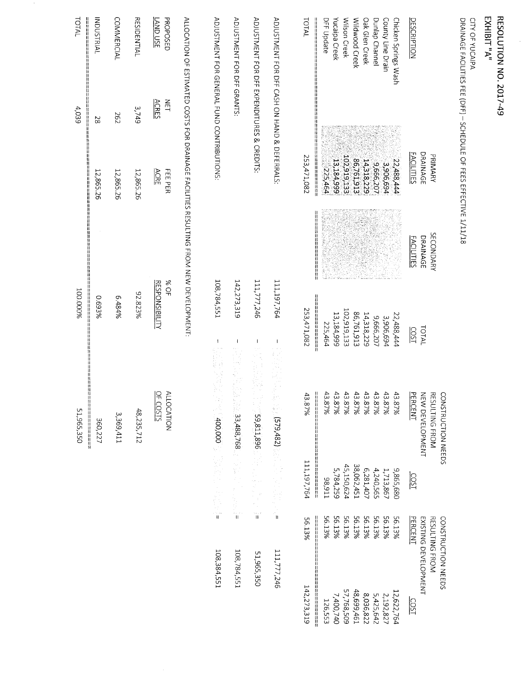$\frac{1}{2}$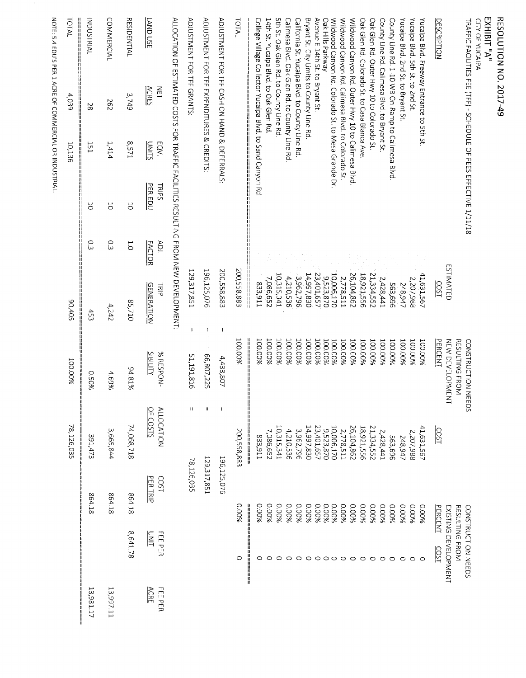|                                                         |                        |                              |                               |                      |                                         |                       |                                                                                      |                      |                                                           | NOTE: 5.4 EDU'S PER 1 ACRE OF COMMERCIAL OR INDUSTRIAL. |
|---------------------------------------------------------|------------------------|------------------------------|-------------------------------|----------------------|-----------------------------------------|-----------------------|--------------------------------------------------------------------------------------|----------------------|-----------------------------------------------------------|---------------------------------------------------------|
|                                                         |                        | 计目标                          | ii<br>Iil<br>78,126,035       | 100.00%              | 50,405                                  |                       | ii<br>Ii                                                                             | 10,136               | 4,039                                                     | TOTAL<br>  <br> <br> <br> <br>                          |
| <br> <br> <br> <br> <br> <br> <br> <br>13,981.17<br>ij. |                        | 864.18                       | 391,473                       | 96050                | 453                                     | Ο.3                   | 5                                                                                    | 151                  | 28                                                        | <b>INDUSTRIAL</b>                                       |
| 13,997.11                                               |                        | 864.18                       | 3,665,844                     | 4.69%                | 4,242                                   | C.3                   | $\overline{C}$                                                                       | 1,414                | 29Z                                                       | <b>COMMERCIAL</b>                                       |
|                                                         | 8,641.78               | 864.18                       | 74,068,718                    | 94.81%               | 85,710                                  | $\overline{C}$        | 5                                                                                    | 12571                | 3,749                                                     | <b>RESIDENTIAL</b>                                      |
| <b>ACRE</b><br>FEE PER                                  | <b>UNLT</b><br>FEE PER | PER TRIP<br>LSO <sub>2</sub> | OF COSTS<br><b>ALLOCATION</b> | SIBILTY<br>% RESPON- | <b>GENERATION</b><br>콜                  | <b>FACTOR</b><br>ADI. | PER EDU<br>TRIPS                                                                     | <u>CTIVU</u><br>EQV. | $\overline{H}$<br><b>ACRES</b>                            | $\frac{1}{250}$ $\frac{1}{25}$                          |
|                                                         |                        |                              |                               |                      |                                         |                       | ALLOCATION OF ESTIMATED COSTS FOR TRAFFIC FACILITIES RESULTING FROM NEW DEVELOPMENT: |                      |                                                           |                                                         |
|                                                         |                        | 78,126,035                   | $\mathbf{H}$                  | 51,191,816           | 129,317,851<br>$\mathbf{I}$             |                       |                                                                                      |                      |                                                           | ADJUSTMENT FOR TFF GRANTS:                              |
|                                                         |                        | 129,317,851                  | П                             | 66,807,225           | 196,125,076                             |                       |                                                                                      |                      |                                                           | ADJUSTMENT FOR TFF EXPENDITURES & CREDITS:              |
|                                                         |                        | 196,125,076                  | Ш                             | 4,433,807            | 200,558,883<br>$\overline{\phantom{a}}$ |                       |                                                                                      |                      |                                                           | ADJUSTMENT FOR TFF CASH ON HAND & DEFERRALS:            |
|                                                         | O                      | 0.00%                        | 200,558,883                   | 100.00%              | 200,558,883                             |                       |                                                                                      |                      |                                                           | TOTAL                                                   |
|                                                         |                        |                              | ┋                             |                      |                                         |                       |                                                                                      |                      | College Village Collector Yucaipa Blvd. to Sand Canyon Rd |                                                         |
|                                                         | 0<br>○                 | 96000<br>9600.0              | 7,086,652<br>123,911          | 100.00%<br>100.00%   | 7,086,652<br>833,911                    |                       |                                                                                      |                      | 14th St. Yucaipa Blvd. to Oak Glen Rd.                    |                                                         |
|                                                         | 0                      | 0.00%                        | 10,315,341                    | 100.00%              | 10,315,341                              |                       |                                                                                      |                      | 5th St. Oak Glen Rd. to County Line Rd                    |                                                         |
|                                                         | $\circ$                | 0.00%                        | 4,210,536                     | <b>700.00%</b>       | 4,210,536                               |                       |                                                                                      |                      | Calimesa Blvd. Oak Glen Rd. to County Line Rd             |                                                         |
|                                                         | $\circ$                | 0.00%                        | 3,962,796                     | 100.00%              | 3,962,796                               |                       |                                                                                      |                      | California St. Yucaipa Blvd. to County Line Rd.           |                                                         |
|                                                         | $\circ$                | 0.00%                        | 14,997,830                    | <b>100.00%</b>       | 14,997,830                              |                       |                                                                                      |                      | Bryant St. City Limits to County Line Rd                  |                                                         |
|                                                         | $\circ$                | 0.00%                        | 23,401,657                    | 100.00%              | 23,401,657                              |                       |                                                                                      |                      |                                                           | Avenue E 14th St. to Bryant St.<br>Oak Hills Parkway    |
|                                                         | $\circ \circ \circ$    | 0.00%<br>9600'0              | 10,006,170<br>9,523,870       | 700.00%<br>700.00%   | 10,006,170<br>9,523,870                 |                       |                                                                                      |                      | Wildwood Canyon Rd. Colorado St. to Mesa Grande Dr.       |                                                         |
|                                                         |                        | 9600.0                       | 2,778,511                     | 100.00%              | 2,778,511                               |                       |                                                                                      |                      | Wildwood Canyon Rd. Calimesa Blvd. to Colorado St.        |                                                         |
|                                                         | $\circ$                | 0.00%                        | 26,104,862                    | 100.00%              | 26,104,862                              |                       |                                                                                      |                      | Wildwood Canyon Rd. Outer Hwy 10 to Calimesa Blvd.        |                                                         |
|                                                         | $\circ$                | 9600°C                       | 18,921,556                    | 100.00%              | 18,921,556                              |                       |                                                                                      |                      | Oak Glen Rd. Colorado St. to Casa Blanca Ave              |                                                         |
|                                                         | $\circ$                | 9600°C                       | 21,334,552                    | 100.00%              | 21,334,552                              |                       |                                                                                      |                      | Oak Glen Rd. Outer Hwy 10 to Colorado St.                 |                                                         |
|                                                         | $\circ$                | 9600.0                       | 2,428,441                     | 100.00%              | 2,428,441                               |                       |                                                                                      |                      | County Line Rd. Calimesa Blvd. to Bryant St.              |                                                         |
|                                                         | $\circ$                | 0.00%                        | 969'E95                       | 100.00%              | 563,696                                 |                       |                                                                                      |                      | County Line Rd. 1-10 WB On-Ramp to Calimesa Blvd.         |                                                         |
|                                                         | $\circ$                | 0.00%                        | 248,947                       | 100.00%              | 248,947                                 |                       |                                                                                      |                      |                                                           | Yucaipa Blvd. 2nd St. to Bryant St.                     |
|                                                         | $\circ$                | 0.00%                        | 2,207,988                     | 100.00%              | 2,207,988                               |                       |                                                                                      |                      |                                                           | Yucaipa Blvd. 5th St. to 2nd St.                        |
|                                                         | $\circ$                | 9600°0                       | 41,631,567                    | 100.00%              | 41,631,567                              |                       |                                                                                      |                      | Yucaipa Blvd. Freeway Entrance to 5th St.                 |                                                         |
|                                                         | COST                   | PERCENT                      | COST                          | PERCENT              | COST                                    |                       |                                                                                      |                      |                                                           | <b>DESCRIPTION</b>                                      |
|                                                         | EXISTING DEVELOPMENT   |                              |                               | NEW DEVELOPME<br>즠   | <b>ESTIMATED</b>                        |                       |                                                                                      |                      |                                                           |                                                         |
|                                                         | RESULTING FROM         |                              |                               | RESULTING FROM       |                                         |                       |                                                                                      |                      |                                                           |                                                         |
|                                                         | CONSTRUCTION NEEDS     |                              | <b>EEDS</b>                   | CONSTRUCTION N       |                                         |                       | TRAFFIC FACILITIES FEE (TFF) - SCHEDULE OF FEES EFFECTIVE 1/11/18                    |                      |                                                           |                                                         |
|                                                         |                        |                              |                               |                      |                                         |                       |                                                                                      |                      |                                                           | EXHIBIT"A"<br>CITY OF YUCAIPA                           |
|                                                         |                        |                              |                               |                      |                                         |                       |                                                                                      |                      |                                                           | <b>RESOLUTION NO. 2017-49</b>                           |

 $\,$   $\,$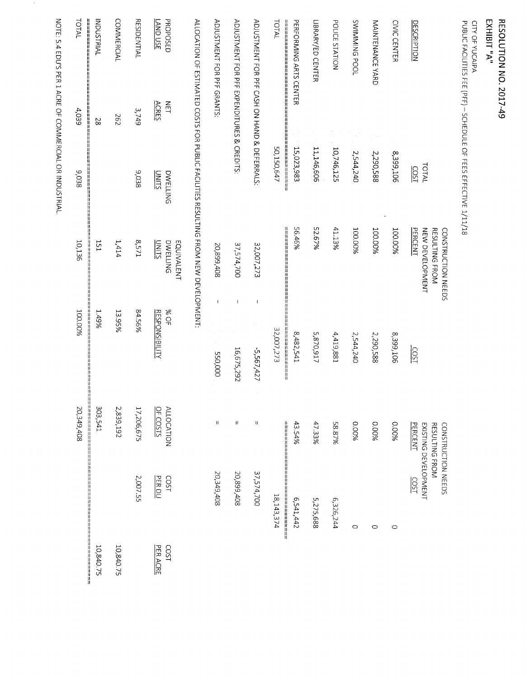## RESOLUTION NO. 2017-49<br>EXHIBIT "A"

CITY OF YUCAIPA<br>PUBLIC FACILITIES FEE (PFF) – SCHEDULE OF FEES EFFECTIVE 1/11/18

|                                               |                                                                                     | CONSTRUCTION NEEDS                                  |                                                     | CONSTRUCTION NEEDS            |                                     |                  |
|-----------------------------------------------|-------------------------------------------------------------------------------------|-----------------------------------------------------|-----------------------------------------------------|-------------------------------|-------------------------------------|------------------|
| <b>DESCRIPTION</b>                            | TOTAL<br>COST                                                                       | PERCENT<br>NEW DEVELOPMENT<br><b>RESULTING FROM</b> | COST                                                | PERCENT<br>RESULTING FROM     | EXISTING DEVELOPMENT<br><b>COST</b> |                  |
| CIVIC CENTER                                  | 8,399,106                                                                           | 100.00%                                             | 8,399,106                                           | 0.00%                         | $\circ$                             |                  |
| MAINTENANCE YARD                              | 2,290,588                                                                           | 100.00%                                             | 2,290,588                                           | 9,00%                         | $\circ$                             |                  |
| SWIMMING POOL                                 | 2,544,240                                                                           | 100.00%                                             | 2,544,240                                           | %00°0                         | $\circ$                             |                  |
| POLICE STATION                                | 10,746,125                                                                          | 41.13%                                              | 4,419,881                                           | 8.8.7%                        | 6,326,244                           |                  |
| LIBRARY/ED CENTER                             | 11,146,606                                                                          | 52.67%                                              | 5,870,917                                           | 47.33%                        | 5,275,688                           |                  |
| PERFORMING ARTS CENTER                        | 15,023,983                                                                          | 56.46%                                              | 8,482,541                                           | 43.54%                        | 5,541,442                           |                  |
| TOTAL                                         | 50,150,647                                                                          |                                                     | 32,007,273                                          |                               | 18,143,374                          |                  |
| ADJUSTMENT FOR PFF CASH ON HAND & DEFERRALS:  |                                                                                     | 32,007,273                                          | $\pmb{\mathsf{l}}$<br>5,567,427                     | $\mathbf{H}$                  | 37,574,700                          |                  |
| ADJUSTMENT FOR PFF EXPENDITURES & CREDITS:    |                                                                                     | 37,574,700                                          | $\begin{array}{c} \hline \end{array}$<br>16,675,292 | $\pmb{\text{II}}$             | 20,899,408                          |                  |
| ADJUSTMENT FOR PFF GRANTS:                    |                                                                                     | 20,899,408                                          | $\overline{1}$<br><b>550,000</b>                    | $\boldsymbol{\mathsf{H}}$     | 20,349,408                          |                  |
|                                               | ALLOCATION OF ESTIMATED COSTS FOR PUBLIC FACILITIES RESULTING FROM NEW DEVELOPMENT: |                                                     |                                                     |                               |                                     |                  |
| PROPOSED<br>LAND USE<br>$\Xi$<br><b>ACRES</b> | <b>UNITS</b><br><b>DWELLING</b>                                                     | <b>DWELLING</b><br>EQUIVALENT<br><u>UNITS</u>       | 30%<br><b>RESPONSIBILITY</b>                        | <b>ALLOCATION</b><br>OF COSTS | LSO <sub>2</sub><br>PER DU          | PER ACRE<br>COST |
| <b>RESIDENTIAL</b>                            | 3,749<br>9,038                                                                      | 8,571                                               | 84.56%                                              | 17,206,675                    | 2,007.55                            |                  |
| <b>COMMERCIAL</b>                             | 262                                                                                 | 1,414                                               | 13.95%                                              | 2,839,192                     |                                     | 10,840.75        |
| <b>IAIRTSUQNI</b>                             | 28                                                                                  | 151                                                 | 1.49%                                               | 303,541                       |                                     | 10,840.75        |
| TOTAL<br>===========                          | 4,039<br>9,038                                                                      | 10,136                                              | 100.00%                                             | 20,349,408                    |                                     |                  |

NOTE: 5.4 EDU'S PER 1 ACRE OF COMMERCIAL OR INDUSTRIAL.

 $\mathcal{A}$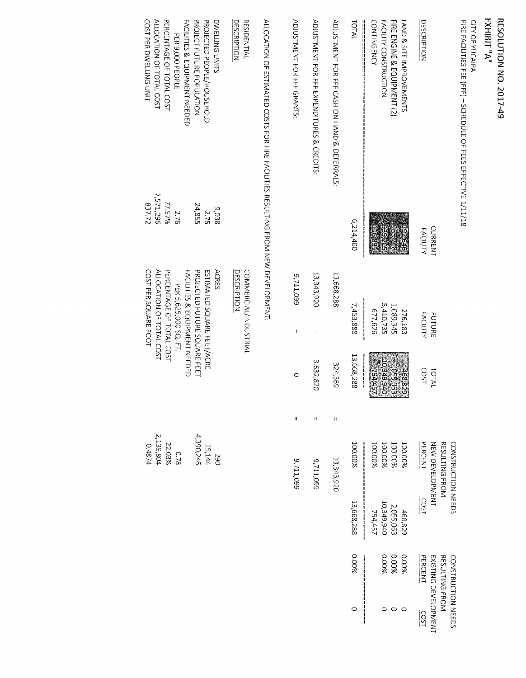### RESOLUTION NO. 2017-49<br>EXHIBIT "A"

CITY OF YUCAIPA<br>FIRE FACILITIES FEE (FFF) -- SCHEDULE OF FEES EFFECTIVE 1/11/18

|                                            |                 |                 |             |   | CONSTRUCTION NEEDS |                 | CONSTRUCTION NEEDS    |                  |
|--------------------------------------------|-----------------|-----------------|-------------|---|--------------------|-----------------|-----------------------|------------------|
|                                            |                 |                 |             |   | RESULTING FROM     |                 | <b>RESULTING FROM</b> |                  |
|                                            | CURRENT         | <b>FUTURE</b>   | TOTAL       |   | NEW DEVELOPMENT    |                 | EXISTING DEVELOPMENT  |                  |
| <b>DESCRIPTION</b>                         | <b>FACILITY</b> | <b>FACILITY</b> | COST        |   | PERCENT            | $rac{150}{150}$ | PERCENT               | $\frac{150}{25}$ |
| LAND & SITE IMPROVEMENTS                   |                 | 276,183         | 168834      |   | 100.00%            | 468,829         | 0.00%                 |                  |
| FIRE ENGINE & EQUIPMENT (2)                |                 | 1,089,345       | 2,055,063   |   | 100.00%            | 2,055,063       | 0.00%                 |                  |
| <b>FACILITY CONSTRUCTION</b>               |                 | 5,410,735       | OP6'6P8'OTA |   | 100.00%            | 10,349,940      | 0.00%                 |                  |
| CONTINGENCY<br>₩<br>‼<br>‼                 | H               | 677,626         | 25462       |   | 100.00%            | 794,457         |                       |                  |
| TOTAL                                      | 6,214,400       | 7,453,888       | 13,668,288  |   | 100.00%            | 13,668,288      | 0.00%                 |                  |
| ADIOSTMENT FOR HAND HAND AND SOFFERRALS:   |                 | 13,668,288      | 324,369     | Ħ | 13,343,920         |                 |                       |                  |
| ADIOSTMENT FOR FFF EXPENDITURES & CREDITS: |                 | 13,343,920<br>I | 3,632,820   | U | 9,711,099          |                 |                       |                  |
| ADJUSTMENT FOR FFF GRANTS:                 |                 | 9,711,099<br>1  |             | П | 9,711,099          |                 |                       |                  |

ALLOCATION OF ESTIMATED COSTS FOR FIRE FACILITIES RESULTING FROM NEW DEVELOPMENT:

| DESCRIPTION<br><b>RESIDENTIAL</b>        |           | COMMERCIAL/INDUSTRIA<br><b>DESCRIPTION</b> |                                       |
|------------------------------------------|-----------|--------------------------------------------|---------------------------------------|
| DWELLING UNITS                           | 9,038     | <b>ACRES</b>                               |                                       |
| PROJECTED PEOPLE/HOUSEHOLD               | 2.75      | ESTIMATED SQUARE FEET/ACRE                 | 15,144<br>15,144<br>1,390,246         |
| PROJECT FURE POPULATION                  | 24,855    | PROJECTED FUTURE SQUARE FEET               |                                       |
| <b>FACILITIES &amp; EQUIPMENT NEEDEL</b> |           | FACILITIES & EQUIPMENT NEEDED              |                                       |
| PER 9,000 PEOPLE                         | 2.76      | PER 5,625,000 SQ. FT.                      |                                       |
| PERCENTAGE OF TOTAL COST                 | 77.97%    | PERCENTAGE OF TOTAL COST                   |                                       |
| ALLOCATION OF TOTAL COST                 | 7,571,296 | ALLOCATION OF TOTAL COST                   | 0.78<br>22.03%<br>2,139,804<br>0.4874 |
| COST PER DWELLING UNIT                   | 837.72    | COST PER SQUARE FOOT                       |                                       |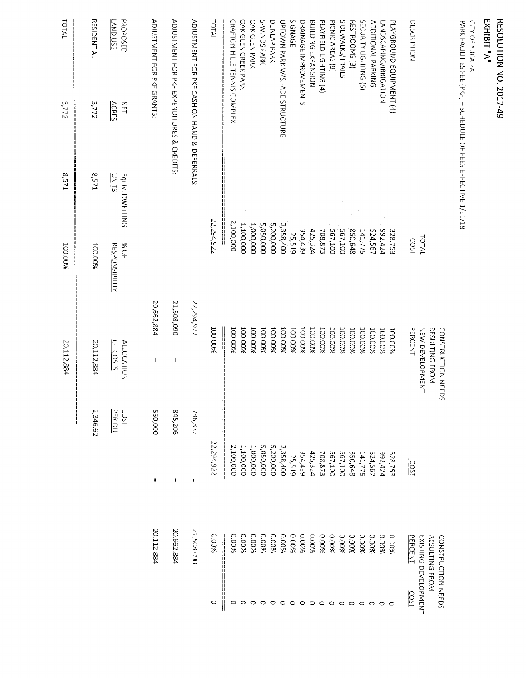| ŗ<br>$\widehat{\Xi}$<br>٢ | ֛<br>׆<br>י<br>ל<br>Ξ |
|---------------------------|-----------------------|
|                           | ć                     |
|                           | <b>TOT</b><br>3       |
|                           |                       |

CITY OF YUCAIPA<br>PARK FACILITIES FEE (PKF) – SCHEDULE OF FEES EFFECTIVE 1/11/18

|                      |                    |                            |                                        |                              | ┙<br>H                          |                                              |                              |
|----------------------|--------------------|----------------------------|----------------------------------------|------------------------------|---------------------------------|----------------------------------------------|------------------------------|
|                      |                    | 2,346.62                   | 20,112,884                             | 100.00%                      | 8,571                           | 3,772                                        | <b>RESIDENTIAL</b>           |
|                      |                    | LSO <sub>2</sub><br>PER DU | OF COSTS<br><b>ALLOCATION</b>          | 30%<br><b>RESPONSIBILITY</b> | Equiv. DWELLING<br><u>UNITS</u> | <b>ACRES</b><br>$\Xi$                        | PROPOSED<br><b>AND USE</b>   |
|                      | 20,112,884         | 550,000<br>$\mathbf{H}$    | 20,662,884                             |                              |                                 | ADJUSTMENT FOR PKF GRANTS:                   |                              |
|                      | 20,662,884         | 845,206<br>$\mathbf{I}$    | 21,508,090<br>$\mathbf{I}$             |                              |                                 | ADIOSTMENT FOR PKF EXPENDITURES & CREDITS:   |                              |
|                      | 21,508,090         | 786,832<br>П               | 22,294,922<br>$\overline{\phantom{a}}$ |                              |                                 | ADJUSTMENT FOR PKF CASH ON HAND & DEFERRALS: |                              |
| o                    | %00°0              | 22,294,922                 | 100.00%                                | 22,294,922                   |                                 |                                              | TOTAL                        |
| H<br>○               | 9600.0             | ון<br> <br> <br>2,100,000  | 100.00%<br>▆                           | 2,100,000                    |                                 | <b>CRAFTON HILLS TENNIS COMPLEX</b>          |                              |
|                      | 0.00%              | 1,100,000                  | <b>100.00%</b>                         | 1,100,000                    |                                 |                                              | OAK GLEN CREEK PARK          |
|                      | 0.00%              | 1,000,000                  | 100.00%                                | 1,000,000                    |                                 |                                              | OAK GLEN PARK                |
|                      | 0.00%              | 5,050,000                  | 100.00%                                | 5,050,000                    |                                 |                                              | <b>S-WINDS PARK</b>          |
|                      | 0.00%              | 5,200,000                  | 100.00%                                | 5,200,000                    |                                 |                                              | <b>DUNLAP PARK</b>           |
| $\circ$              | 0.00%              | 2,358,400                  | 100.00%                                | 2,358,400                    |                                 | UPTOWN PARK W/SHADE STRUCTURE                |                              |
| $\circ$              | 0.00%              | 25,519                     | 100.00%                                | 25,519                       |                                 |                                              | SIGNAGE                      |
| $\circ$              | 0.00%              | 354,439                    | 100.00%                                | 354,439                      |                                 |                                              | DRAINAGE IMPROVEMENTS        |
| $\circ$              | 9600.0             | 425,324                    | 100.00%                                | 425,324                      |                                 |                                              | BUILDING EXPANSION           |
| $\circ$              | 0.00%              | 708,873                    | 100.00%                                | 708,873                      |                                 |                                              | PLAYFIELD LIGHTING (4)       |
| $\circ$              | 0.00%              | 567,100                    | 100.00%                                | <b>567,100</b>               |                                 |                                              | PICNIC AREAS (8)             |
| 0                    | 9600.0             | 567,100                    | 100.00%                                | 001'195                      |                                 |                                              | SIDEWALKS/TRAILS             |
| $\circ$              | 0.00%              | 850,648                    | 100.00%                                | 850,648                      |                                 |                                              | RESTROOMS (3)                |
| $\circ$              | 9600.0             | 141,775                    | 100.00%                                | 141,775                      |                                 |                                              | SECURITY LIGHTING (5)        |
| $\circ$              | 9600.0             | 524,567                    | <b>1000%</b>                           | 524,567                      |                                 |                                              | ADDITIONAL PARKING           |
| O                    | <b>9600°C</b>      | 992,424                    | 100.00%                                | 992,424                      |                                 |                                              | <b>ANDSCAPING/IRRIGATION</b> |
| ○                    | 9600.0             | 328,753                    | 100.00%                                | 328,753                      |                                 |                                              | PLAYGROUND EQUIPMENT (4)     |
| COST                 | PERCENT            | LSO <sub>2</sub>           | <b>PERCENT</b>                         | <b>SOST</b>                  |                                 |                                              | <b>DESCRIPTION</b>           |
| EXISTING DEVELOPMENT |                    |                            | NEW DEVELOPMENT                        | TOTAL                        |                                 |                                              |                              |
|                      | RESULTING FROM     |                            | RESULTING FROM                         |                              |                                 |                                              |                              |
|                      | CONSTRUCTION NEEDS |                            | CONSTRUCTION NEEDS                     |                              |                                 |                                              |                              |

TOTAL

3,772

1258

%00.001

20,112,884